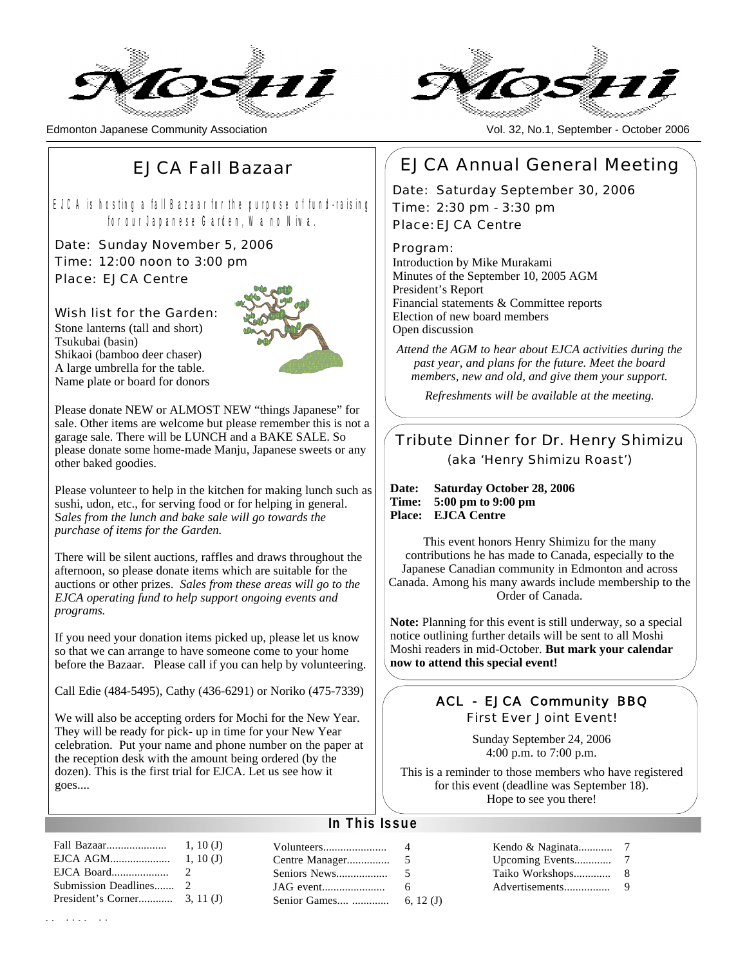

Edmonton Japanese Community Association Vol. 32, No.1, September - October 2006



## EJCA Fall Bazaar

EJCA is hosting a fall Bazaar for the purpose of fund-raising for our Japanese Garden, Wa no Niwa.

Date: Sunday November 5, 2006 Time: 12:00 noon to 3:00 pm Place: EJCA Centre

Wish list for the Garden: Stone lanterns (tall and short) Tsukubai (basin) Shikaoi (bamboo deer chaser) A large umbrella for the table. Name plate or board for donors



Please donate NEW or ALMOST NEW "things Japanese" for sale. Other items are welcome but please remember this is not a garage sale. There will be LUNCH and a BAKE SALE. So please donate some home-made Manju, Japanese sweets or any other baked goodies.

Please volunteer to help in the kitchen for making lunch such as sushi, udon, etc., for serving food or for helping in general. S*ales from the lunch and bake sale will go towards the purchase of items for the Garden.*

There will be silent auctions, raffles and draws throughout the afternoon, so please donate items which are suitable for the auctions or other prizes. *Sales from these areas will go to the EJCA operating fund to help support ongoing events and programs.*

If you need your donation items picked up, please let us know so that we can arrange to have someone come to your home before the Bazaar. Please call if you can help by volunteering.

Call Edie (484-5495), Cathy (436-6291) or Noriko (475-7339)

We will also be accepting orders for Mochi for the New Year. They will be ready for pick- up in time for your New Year celebration. Put your name and phone number on the paper at the reception desk with the amount being ordered (by the dozen). This is the first trial for EJCA. Let us see how it goes....

## EJCA Annual General Meeting

Date: Saturday September 30, 2006 Time: 2:30 pm - 3:30 pm Place: EJCA Centre

Program:

Introduction by Mike Murakami Minutes of the September 10, 2005 AGM President's Report Financial statements & Committee reports Election of new board members Open discussion

*Attend the AGM to hear about EJCA activities during the past year, and plans for the future. Meet the board members, new and old, and give them your support.* 

*Refreshments will be available at the meeting.*

### Tribute Dinner for Dr. Henry Shimizu (aka 'Henry Shimizu Roast')

**Date: Saturday October 28, 2006 Time: 5:00 pm to 9:00 pm Place: EJCA Centre**

This event honors Henry Shimizu for the many contributions he has made to Canada, especially to the Japanese Canadian community in Edmonton and across Canada. Among his many awards include membership to the Order of Canada.

**Note:** Planning for this event is still underway, so a special notice outlining further details will be sent to all Moshi Moshi readers in mid-October. **But mark your calendar now to attend this special event!**

### ACL - EJCA Community BBQ

First Ever Joint Event!

Sunday September 24, 2006 4:00 p.m. to 7:00 p.m.

This is a reminder to those members who have registered for this event (deadline was September 18). Hope to see you there!

### **In This Issue**

| Fall Bazaar | 1, 10(J)      |
|-------------|---------------|
| EJCA AGM    | 1.10(J)       |
|             | $\mathcal{L}$ |
|             |               |
|             |               |
|             |               |

| Centre Manager | 5           |
|----------------|-------------|
| Seniors News   | 5           |
|                | 6           |
| Senior Games   | 6, 12 $(J)$ |
|                |             |

| Kendo & Naginata |   |
|------------------|---|
| Upcoming Events  | 7 |
| Taiko Workshops  | 8 |
| Advertisements   | 9 |
|                  |   |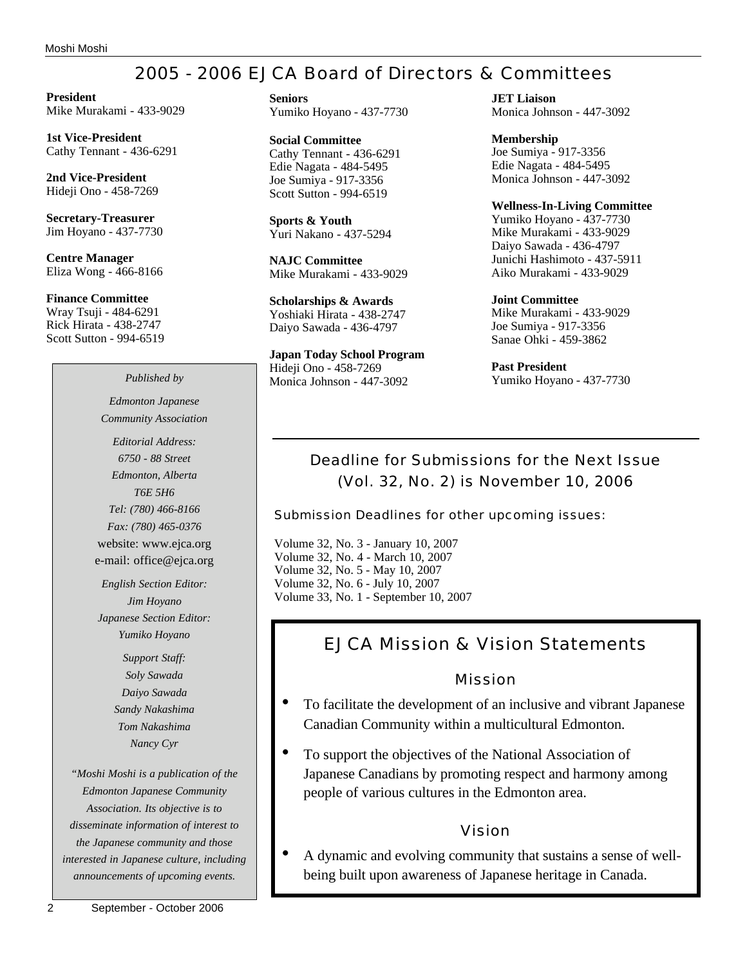## 2005 - 2006 EJCA Board of Directors & Committees

**President** Mike Murakami - 433-9029

**1st Vice-President** Cathy Tennant - 436-6291

**2nd Vice-President** Hideji Ono - 458-7269

**Secretary-Treasurer** Jim Hoyano - 437-7730

**Centre Manager** Eliza Wong - 466-8166

**Finance Committee** Wray Tsuji - 484-6291 Rick Hirata - 438-2747 Scott Sutton - 994-6519

## *Edmonton Japanese Community Association*

*Editorial Address: 6750 - 88 Street Edmonton, Alberta T6E 5H6 Tel: (780) 466-8166 Fax: (780) 465-0376* website: www.ejca.org e-mail: office@ejca.org

*English Section Editor: Jim Hoyano Japanese Section Editor: Yumiko Hoyano*

> *Support Staff: Soly Sawada Daiyo Sawada Sandy Nakashima Tom Nakashima Nancy Cyr*

*"Moshi Moshi is a publication of the Edmonton Japanese Community Association. Its objective is to disseminate information of interest to the Japanese community and those interested in Japanese culture, including announcements of upcoming events.*

**Seniors** Yumiko Hoyano - 437-7730

**Social Committee** Cathy Tennant - 436-6291 Edie Nagata - 484-5495 Joe Sumiya - 917-3356 Scott Sutton - 994-6519

**Sports & Youth** Yuri Nakano - 437-5294

**NAJC Committee** Mike Murakami - 433-9029

**Scholarships & Awards** Yoshiaki Hirata - 438-2747 Daiyo Sawada - 436-4797

**Japan Today School Program** Hideji Ono - 458-7269 Monica Johnson - 447-3092 *Published by* Monica Johnson - 447-3092 Yumiko Hoyano - 437-7730

**JET Liaison** Monica Johnson - 447-3092

**Membership** Joe Sumiya - 917-3356 Edie Nagata - 484-5495 Monica Johnson - 447-3092

**Wellness-In-Living Committee**

Yumiko Hoyano - 437-7730 Mike Murakami - 433-9029 Daiyo Sawada - 436-4797 Junichi Hashimoto - 437-5911 Aiko Murakami - 433-9029

**Joint Committee** Mike Murakami - 433-9029 Joe Sumiya - 917-3356 Sanae Ohki - 459-3862

**Past President**

## Deadline for Submissions for the Next Issue (Vol. 32, No. 2) is November 10, 2006

Submission Deadlines for other upcoming issues:

Volume 32, No. 3 - January 10, 2007 Volume 32, No. 4 - March 10, 2007 Volume 32, No. 5 - May 10, 2007 Volume 32, No. 6 - July 10, 2007 Volume 33, No. 1 - September 10, 2007

## EJCA Mission & Vision Statements

### Mission

- To facilitate the development of an inclusive and vibrant Japanese Canadian Community within a multicultural Edmonton.
- To support the objectives of the National Association of Japanese Canadians by promoting respect and harmony among people of various cultures in the Edmonton area.

### Vision

• A dynamic and evolving community that sustains a sense of wellbeing built upon awareness of Japanese heritage in Canada.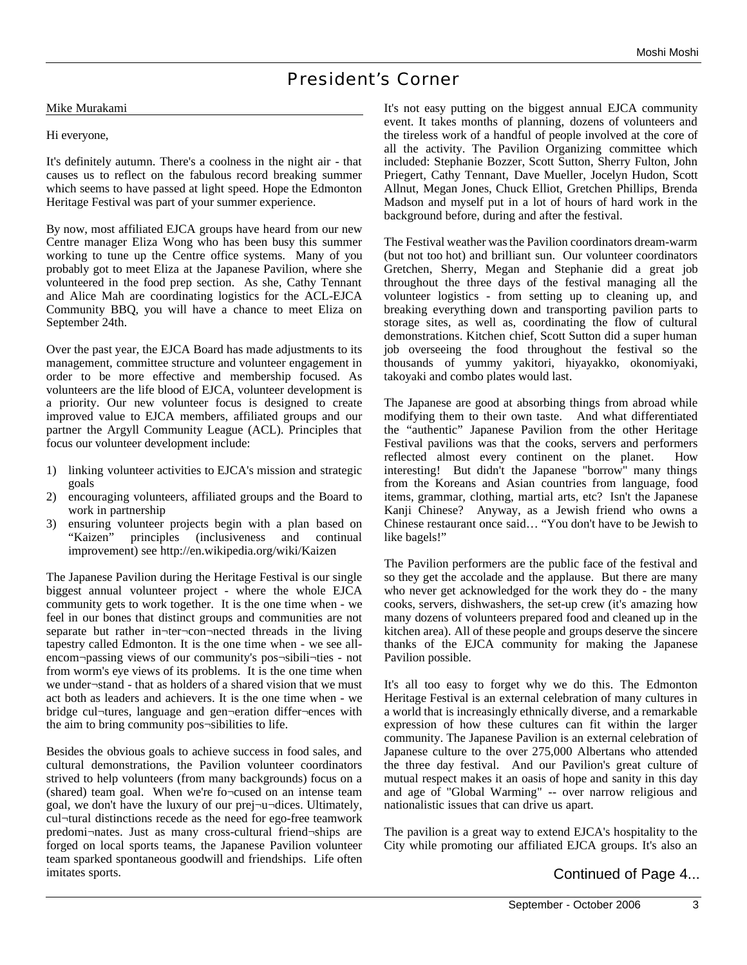## President's Corner

### Mike Murakami

### Hi everyone,

It's definitely autumn. There's a coolness in the night air - that causes us to reflect on the fabulous record breaking summer which seems to have passed at light speed. Hope the Edmonton Heritage Festival was part of your summer experience.

By now, most affiliated EJCA groups have heard from our new Centre manager Eliza Wong who has been busy this summer working to tune up the Centre office systems. Many of you probably got to meet Eliza at the Japanese Pavilion, where she volunteered in the food prep section. As she, Cathy Tennant and Alice Mah are coordinating logistics for the ACL-EJCA Community BBQ, you will have a chance to meet Eliza on September 24th.

Over the past year, the EJCA Board has made adjustments to its management, committee structure and volunteer engagement in order to be more effective and membership focused. As volunteers are the life blood of EJCA, volunteer development is a priority. Our new volunteer focus is designed to create improved value to EJCA members, affiliated groups and our partner the Argyll Community League (ACL). Principles that focus our volunteer development include:

- 1) linking volunteer activities to EJCA's mission and strategic goals
- 2) encouraging volunteers, affiliated groups and the Board to work in partnership
- 3) ensuring volunteer projects begin with a plan based on "Kaizen" principles (inclusiveness and continual improvement) see http://en.wikipedia.org/wiki/Kaizen

The Japanese Pavilion during the Heritage Festival is our single biggest annual volunteer project - where the whole EJCA community gets to work together. It is the one time when - we feel in our bones that distinct groups and communities are not separate but rather in¬ter¬con¬nected threads in the living tapestry called Edmonton. It is the one time when - we see allencom¬passing views of our community's pos¬sibili¬ties - not from worm's eye views of its problems. It is the one time when we under¬stand - that as holders of a shared vision that we must act both as leaders and achievers. It is the one time when - we bridge cul¬tures, language and gen¬eration differ¬ences with the aim to bring community pos¬sibilities to life.

Besides the obvious goals to achieve success in food sales, and cultural demonstrations, the Pavilion volunteer coordinators strived to help volunteers (from many backgrounds) focus on a (shared) team goal. When we're fo¬cused on an intense team goal, we don't have the luxury of our prej¬u¬dices. Ultimately, cul¬tural distinctions recede as the need for ego-free teamwork predomi¬nates. Just as many cross-cultural friend¬ships are forged on local sports teams, the Japanese Pavilion volunteer team sparked spontaneous goodwill and friendships. Life often imitates sports.

It's not easy putting on the biggest annual EJCA community event. It takes months of planning, dozens of volunteers and the tireless work of a handful of people involved at the core of all the activity. The Pavilion Organizing committee which included: Stephanie Bozzer, Scott Sutton, Sherry Fulton, John Priegert, Cathy Tennant, Dave Mueller, Jocelyn Hudon, Scott Allnut, Megan Jones, Chuck Elliot, Gretchen Phillips, Brenda Madson and myself put in a lot of hours of hard work in the background before, during and after the festival.

The Festival weather was the Pavilion coordinators dream-warm (but not too hot) and brilliant sun. Our volunteer coordinators Gretchen, Sherry, Megan and Stephanie did a great job throughout the three days of the festival managing all the volunteer logistics - from setting up to cleaning up, and breaking everything down and transporting pavilion parts to storage sites, as well as, coordinating the flow of cultural demonstrations. Kitchen chief, Scott Sutton did a super human job overseeing the food throughout the festival so the thousands of yummy yakitori, hiyayakko, okonomiyaki, takoyaki and combo plates would last.

The Japanese are good at absorbing things from abroad while modifying them to their own taste. And what differentiated the "authentic" Japanese Pavilion from the other Heritage Festival pavilions was that the cooks, servers and performers reflected almost every continent on the planet. How interesting! But didn't the Japanese "borrow" many things from the Koreans and Asian countries from language, food items, grammar, clothing, martial arts, etc? Isn't the Japanese Kanji Chinese? Anyway, as a Jewish friend who owns a Chinese restaurant once said… "You don't have to be Jewish to like bagels!"

The Pavilion performers are the public face of the festival and so they get the accolade and the applause. But there are many who never get acknowledged for the work they do - the many cooks, servers, dishwashers, the set-up crew (it's amazing how many dozens of volunteers prepared food and cleaned up in the kitchen area). All of these people and groups deserve the sincere thanks of the EJCA community for making the Japanese Pavilion possible.

It's all too easy to forget why we do this. The Edmonton Heritage Festival is an external celebration of many cultures in a world that is increasingly ethnically diverse, and a remarkable expression of how these cultures can fit within the larger community. The Japanese Pavilion is an external celebration of Japanese culture to the over 275,000 Albertans who attended the three day festival. And our Pavilion's great culture of mutual respect makes it an oasis of hope and sanity in this day and age of "Global Warming" -- over narrow religious and nationalistic issues that can drive us apart.

The pavilion is a great way to extend EJCA's hospitality to the City while promoting our affiliated EJCA groups. It's also an

### Continued of Page 4...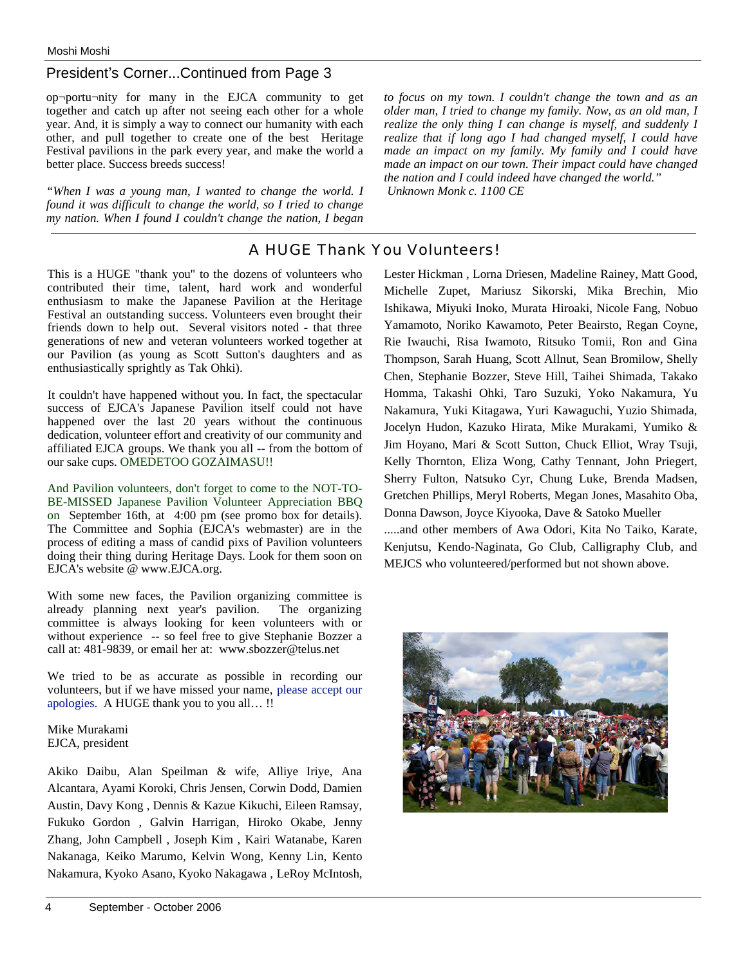### President's Corner...Continued from Page 3

op¬portu¬nity for many in the EJCA community to get together and catch up after not seeing each other for a whole year. And, it is simply a way to connect our humanity with each other, and pull together to create one of the best Heritage Festival pavilions in the park every year, and make the world a better place. Success breeds success!

*"When I was a young man, I wanted to change the world. I found it was difficult to change the world, so I tried to change my nation. When I found I couldn't change the nation, I began*  *to focus on my town. I couldn't change the town and as an older man, I tried to change my family. Now, as an old man, I realize the only thing I can change is myself, and suddenly I realize that if long ago I had changed myself, I could have made an impact on my family. My family and I could have made an impact on our town. Their impact could have changed the nation and I could indeed have changed the world." Unknown Monk c. 1100 CE*

### A HUGE Thank You Volunteers!

This is a HUGE "thank you" to the dozens of volunteers who contributed their time, talent, hard work and wonderful enthusiasm to make the Japanese Pavilion at the Heritage Festival an outstanding success. Volunteers even brought their friends down to help out. Several visitors noted - that three generations of new and veteran volunteers worked together at our Pavilion (as young as Scott Sutton's daughters and as enthusiastically sprightly as Tak Ohki).

It couldn't have happened without you. In fact, the spectacular success of EJCA's Japanese Pavilion itself could not have happened over the last 20 years without the continuous dedication, volunteer effort and creativity of our community and affiliated EJCA groups. We thank you all -- from the bottom of our sake cups. OMEDETOO GOZAIMASU!!

And Pavilion volunteers, don't forget to come to the NOT-TO-BE-MISSED Japanese Pavilion Volunteer Appreciation BBQ on September 16th, at 4:00 pm (see promo box for details). The Committee and Sophia (EJCA's webmaster) are in the process of editing a mass of candid pixs of Pavilion volunteers doing their thing during Heritage Days. Look for them soon on EJCA's website @ www.EJCA.org.

With some new faces, the Pavilion organizing committee is already planning next year's pavilion. The organizing already planning next year's pavilion. committee is always looking for keen volunteers with or without experience -- so feel free to give Stephanie Bozzer a call at: 481-9839, or email her at: www.sbozzer@telus.net

We tried to be as accurate as possible in recording our volunteers, but if we have missed your name, please accept our apologies. A HUGE thank you to you all… !!

Mike Murakami EJCA, president

Akiko Daibu, Alan Speilman & wife, Alliye Iriye, Ana Alcantara, Ayami Koroki, Chris Jensen, Corwin Dodd, Damien Austin, Davy Kong , Dennis & Kazue Kikuchi, Eileen Ramsay, Fukuko Gordon , Galvin Harrigan, Hiroko Okabe, Jenny Zhang, John Campbell , Joseph Kim , Kairi Watanabe, Karen Nakanaga, Keiko Marumo, Kelvin Wong, Kenny Lin, Kento Nakamura, Kyoko Asano, Kyoko Nakagawa , LeRoy McIntosh, Lester Hickman , Lorna Driesen, Madeline Rainey, Matt Good, Michelle Zupet, Mariusz Sikorski, Mika Brechin, Mio Ishikawa, Miyuki Inoko, Murata Hiroaki, Nicole Fang, Nobuo Yamamoto, Noriko Kawamoto, Peter Beairsto, Regan Coyne, Rie Iwauchi, Risa Iwamoto, Ritsuko Tomii, Ron and Gina Thompson, Sarah Huang, Scott Allnut, Sean Bromilow, Shelly Chen, Stephanie Bozzer, Steve Hill, Taihei Shimada, Takako Homma, Takashi Ohki, Taro Suzuki, Yoko Nakamura, Yu Nakamura, Yuki Kitagawa, Yuri Kawaguchi, Yuzio Shimada, Jocelyn Hudon, Kazuko Hirata, Mike Murakami, Yumiko & Jim Hoyano, Mari & Scott Sutton, Chuck Elliot, Wray Tsuji, Kelly Thornton, Eliza Wong, Cathy Tennant, John Priegert, Sherry Fulton, Natsuko Cyr, Chung Luke, Brenda Madsen, Gretchen Phillips, Meryl Roberts, Megan Jones, Masahito Oba, Donna Dawson, Joyce Kiyooka, Dave & Satoko Mueller .....and other members of Awa Odori, Kita No Taiko, Karate, Kenjutsu, Kendo-Naginata, Go Club, Calligraphy Club, and MEJCS who volunteered/performed but not shown above.

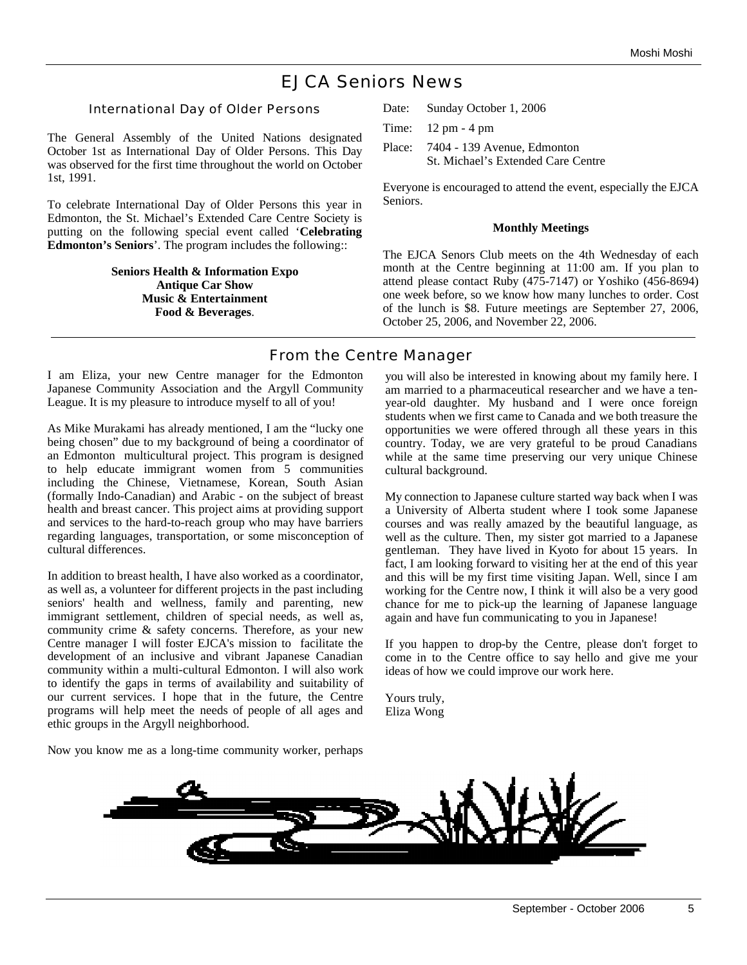## EJCA Seniors News

International Day of Older Persons

The General Assembly of the United Nations designated October 1st as International Day of Older Persons. This Day was observed for the first time throughout the world on October 1st, 1991.

To celebrate International Day of Older Persons this year in Edmonton, the St. Michael's Extended Care Centre Society is putting on the following special event called '**Celebrating Edmonton's Seniors**'. The program includes the following::

> **Seniors Health & Information Expo Antique Car Show Music & Entertainment Food & Beverages**.

Date: Sunday October 1, 2006

Time: 12 pm - 4 pm

Place: 7404 - 139 Avenue, Edmonton St. Michael's Extended Care Centre

Everyone is encouraged to attend the event, especially the EJCA Seniors.

### **Monthly Meetings**

The EJCA Senors Club meets on the 4th Wednesday of each month at the Centre beginning at 11:00 am. If you plan to attend please contact Ruby (475-7147) or Yoshiko (456-8694) one week before, so we know how many lunches to order. Cost of the lunch is \$8. Future meetings are September 27, 2006, October 25, 2006, and November 22, 2006.

### From the Centre Manager

I am Eliza, your new Centre manager for the Edmonton Japanese Community Association and the Argyll Community League. It is my pleasure to introduce myself to all of you!

As Mike Murakami has already mentioned, I am the "lucky one being chosen" due to my background of being a coordinator of an Edmonton multicultural project. This program is designed to help educate immigrant women from 5 communities including the Chinese, Vietnamese, Korean, South Asian (formally Indo-Canadian) and Arabic - on the subject of breast health and breast cancer. This project aims at providing support and services to the hard-to-reach group who may have barriers regarding languages, transportation, or some misconception of cultural differences.

In addition to breast health, I have also worked as a coordinator, as well as, a volunteer for different projects in the past including seniors' health and wellness, family and parenting, new immigrant settlement, children of special needs, as well as, community crime & safety concerns. Therefore, as your new Centre manager I will foster EJCA's mission to facilitate the development of an inclusive and vibrant Japanese Canadian community within a multi-cultural Edmonton. I will also work to identify the gaps in terms of availability and suitability of our current services. I hope that in the future, the Centre programs will help meet the needs of people of all ages and ethic groups in the Argyll neighborhood.

Now you know me as a long-time community worker, perhaps

you will also be interested in knowing about my family here. I am married to a pharmaceutical researcher and we have a tenyear-old daughter. My husband and I were once foreign students when we first came to Canada and we both treasure the opportunities we were offered through all these years in this country. Today, we are very grateful to be proud Canadians while at the same time preserving our very unique Chinese cultural background.

My connection to Japanese culture started way back when I was a University of Alberta student where I took some Japanese courses and was really amazed by the beautiful language, as well as the culture. Then, my sister got married to a Japanese gentleman. They have lived in Kyoto for about 15 years. In fact, I am looking forward to visiting her at the end of this year and this will be my first time visiting Japan. Well, since I am working for the Centre now, I think it will also be a very good chance for me to pick-up the learning of Japanese language again and have fun communicating to you in Japanese!

If you happen to drop-by the Centre, please don't forget to come in to the Centre office to say hello and give me your ideas of how we could improve our work here.

Yours truly, Eliza Wong

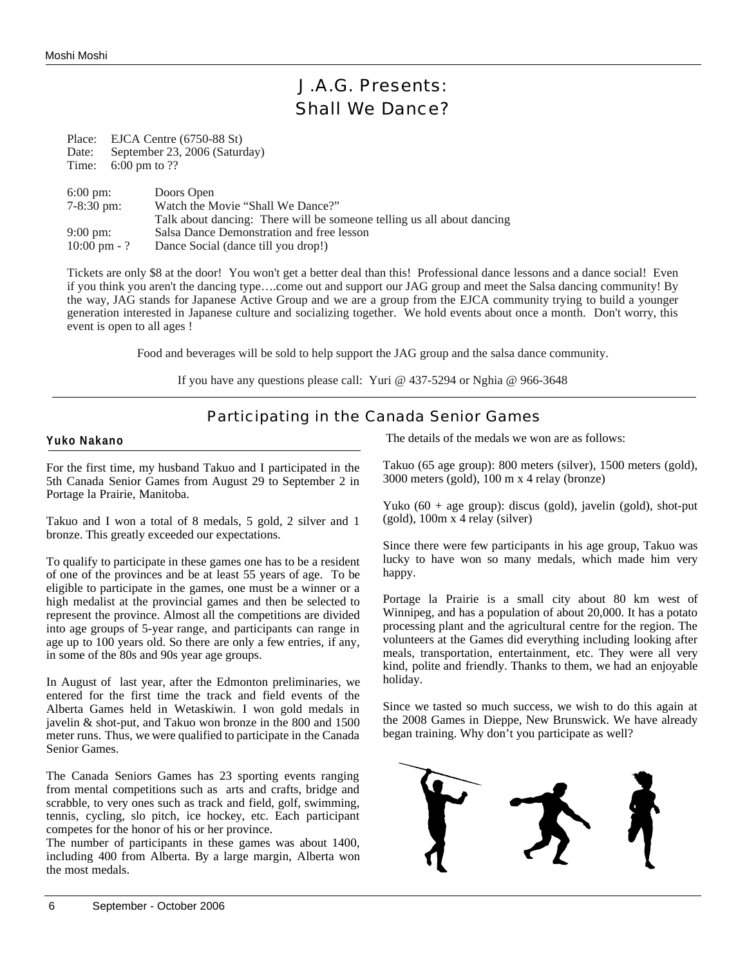## J.A.G. Presents: Shall We Dance?

Place: EJCA Centre (6750-88 St) Date: September 23, 2006 (Saturday) Time: 6:00 pm to ??

| $6:00 \text{ pm}$ :     | Doors Open                                                             |
|-------------------------|------------------------------------------------------------------------|
| $7 - 8:30 \text{ pm}$ : | Watch the Movie "Shall We Dance?"                                      |
|                         | Talk about dancing: There will be someone telling us all about dancing |
| $9:00 \text{ pm}$ :     | Salsa Dance Demonstration and free lesson                              |
| $10:00 \text{ pm} - ?$  | Dance Social (dance till you drop!)                                    |

Tickets are only \$8 at the door! You won't get a better deal than this! Professional dance lessons and a dance social! Even if you think you aren't the dancing type….come out and support our JAG group and meet the Salsa dancing community! By the way, JAG stands for Japanese Active Group and we are a group from the EJCA community trying to build a younger generation interested in Japanese culture and socializing together. We hold events about once a month. Don't worry, this event is open to all ages !

Food and beverages will be sold to help support the JAG group and the salsa dance community.

If you have any questions please call: Yuri @ 437-5294 or Nghia @ 966-3648

## Participating in the Canada Senior Games

### **Yuko Nakano**

For the first time, my husband Takuo and I participated in the 5th Canada Senior Games from August 29 to September 2 in Portage la Prairie, Manitoba.

Takuo and I won a total of 8 medals, 5 gold, 2 silver and 1 bronze. This greatly exceeded our expectations.

To qualify to participate in these games one has to be a resident of one of the provinces and be at least 55 years of age. To be eligible to participate in the games, one must be a winner or a high medalist at the provincial games and then be selected to represent the province. Almost all the competitions are divided into age groups of 5-year range, and participants can range in age up to 100 years old. So there are only a few entries, if any, in some of the 80s and 90s year age groups.

In August of last year, after the Edmonton preliminaries, we entered for the first time the track and field events of the Alberta Games held in Wetaskiwin. I won gold medals in javelin & shot-put, and Takuo won bronze in the 800 and 1500 meter runs. Thus, we were qualified to participate in the Canada Senior Games.

The Canada Seniors Games has 23 sporting events ranging from mental competitions such as arts and crafts, bridge and scrabble, to very ones such as track and field, golf, swimming, tennis, cycling, slo pitch, ice hockey, etc. Each participant competes for the honor of his or her province.

The number of participants in these games was about 1400, including 400 from Alberta. By a large margin, Alberta won the most medals.

The details of the medals we won are as follows:

Takuo (65 age group): 800 meters (silver), 1500 meters (gold), 3000 meters (gold), 100 m x 4 relay (bronze)

Yuko (60 + age group): discus (gold), javelin (gold), shot-put (gold), 100m x 4 relay (silver)

Since there were few participants in his age group, Takuo was lucky to have won so many medals, which made him very happy.

Portage la Prairie is a small city about 80 km west of Winnipeg, and has a population of about 20,000. It has a potato processing plant and the agricultural centre for the region. The volunteers at the Games did everything including looking after meals, transportation, entertainment, etc. They were all very kind, polite and friendly. Thanks to them, we had an enjoyable holiday.

Since we tasted so much success, we wish to do this again at the 2008 Games in Dieppe, New Brunswick. We have already began training. Why don't you participate as well?

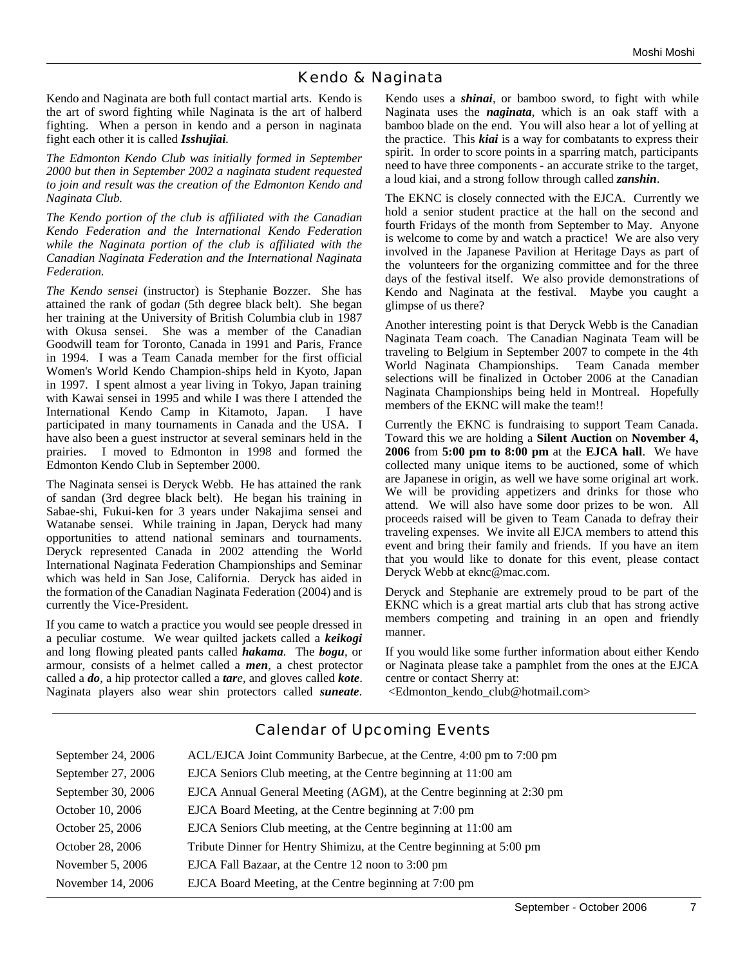### Kendo & Naginata

Kendo and Naginata are both full contact martial arts. Kendo is the art of sword fighting while Naginata is the art of halberd fighting. When a person in kendo and a person in naginata fight each other it is called *Isshujiai.*

*The Edmonton Kendo Club was initially formed in September 2000 but then in September 2002 a naginata student requested to join and result was the creation of the Edmonton Kendo and Naginata Club.* 

*The Kendo portion of the club is affiliated with the Canadian Kendo Federation and the International Kendo Federation while the Naginata portion of the club is affiliated with the Canadian Naginata Federation and the International Naginata Federation.*

*The Kendo sensei* (instructor) is Stephanie Bozzer. She has attained the rank of goda*n* (5th degree black belt). She began her training at the University of British Columbia club in 1987 with Okusa sensei. She was a member of the Canadian Goodwill team for Toronto, Canada in 1991 and Paris, France in 1994. I was a Team Canada member for the first official Women's World Kendo Champion-ships held in Kyoto, Japan in 1997. I spent almost a year living in Tokyo, Japan training with Kawai sensei in 1995 and while I was there I attended the International Kendo Camp in Kitamoto, Japan. I have participated in many tournaments in Canada and the USA. I have also been a guest instructor at several seminars held in the prairies. I moved to Edmonton in 1998 and formed the Edmonton Kendo Club in September 2000.

The Naginata sensei is Deryck Webb. He has attained the rank of sandan (3rd degree black belt). He began his training in Sabae-shi, Fukui-ken for 3 years under Nakajima sensei and Watanabe sensei. While training in Japan, Deryck had many opportunities to attend national seminars and tournaments. Deryck represented Canada in 2002 attending the World International Naginata Federation Championships and Seminar which was held in San Jose, California. Deryck has aided in the formation of the Canadian Naginata Federation (2004) and is currently the Vice-President.

If you came to watch a practice you would see people dressed in a peculiar costume. We wear quilted jackets called a *keikogi* and long flowing pleated pants called *hakama.* The *bogu*, or armour, consists of a helmet called a *men,* a chest protector called a *do*, a hip protector called a *tare*, and gloves called *kote*. Naginata players also wear shin protectors called *suneate*.

Kendo uses a *shinai*, or bamboo sword, to fight with while Naginata uses the *naginata*, which is an oak staff with a bamboo blade on the end. You will also hear a lot of yelling at the practice. This *kiai* is a way for combatants to express their spirit. In order to score points in a sparring match, participants need to have three components - an accurate strike to the target, a loud kiai, and a strong follow through called *zanshin*.

The EKNC is closely connected with the EJCA. Currently we hold a senior student practice at the hall on the second and fourth Fridays of the month from September to May. Anyone is welcome to come by and watch a practice! We are also very involved in the Japanese Pavilion at Heritage Days as part of the volunteers for the organizing committee and for the three days of the festival itself. We also provide demonstrations of Kendo and Naginata at the festival. Maybe you caught a glimpse of us there?

Another interesting point is that Deryck Webb is the Canadian Naginata Team coach. The Canadian Naginata Team will be traveling to Belgium in September 2007 to compete in the 4th World Naginata Championships. Team Canada member selections will be finalized in October 2006 at the Canadian Naginata Championships being held in Montreal. Hopefully members of the EKNC will make the team!!

Currently the EKNC is fundraising to support Team Canada. Toward this we are holding a **Silent Auction** on **November 4, 2006** from **5:00 pm to 8:00 pm** at the **EJCA hall**. We have collected many unique items to be auctioned, some of which are Japanese in origin, as well we have some original art work. We will be providing appetizers and drinks for those who attend. We will also have some door prizes to be won. All proceeds raised will be given to Team Canada to defray their traveling expenses. We invite all EJCA members to attend this event and bring their family and friends. If you have an item that you would like to donate for this event, please contact Deryck Webb at eknc@mac.com.

Deryck and Stephanie are extremely proud to be part of the EKNC which is a great martial arts club that has strong active members competing and training in an open and friendly manner.

If you would like some further information about either Kendo or Naginata please take a pamphlet from the ones at the EJCA centre or contact Sherry at:

<Edmonton\_kendo\_club@hotmail.com>

| September 24, 2006 | ACL/EJCA Joint Community Barbecue, at the Centre, 4:00 pm to 7:00 pm  |
|--------------------|-----------------------------------------------------------------------|
| September 27, 2006 | EJCA Seniors Club meeting, at the Centre beginning at 11:00 am        |
| September 30, 2006 | EJCA Annual General Meeting (AGM), at the Centre beginning at 2:30 pm |
| October 10, 2006   | EJCA Board Meeting, at the Centre beginning at 7:00 pm                |
| October 25, 2006   | EJCA Seniors Club meeting, at the Centre beginning at 11:00 am        |
| October 28, 2006   | Tribute Dinner for Hentry Shimizu, at the Centre beginning at 5:00 pm |
| November 5, 2006   | EJCA Fall Bazaar, at the Centre 12 noon to 3:00 pm                    |
| November 14, 2006  | EJCA Board Meeting, at the Centre beginning at 7:00 pm                |
|                    |                                                                       |

### Calendar of Upcoming Events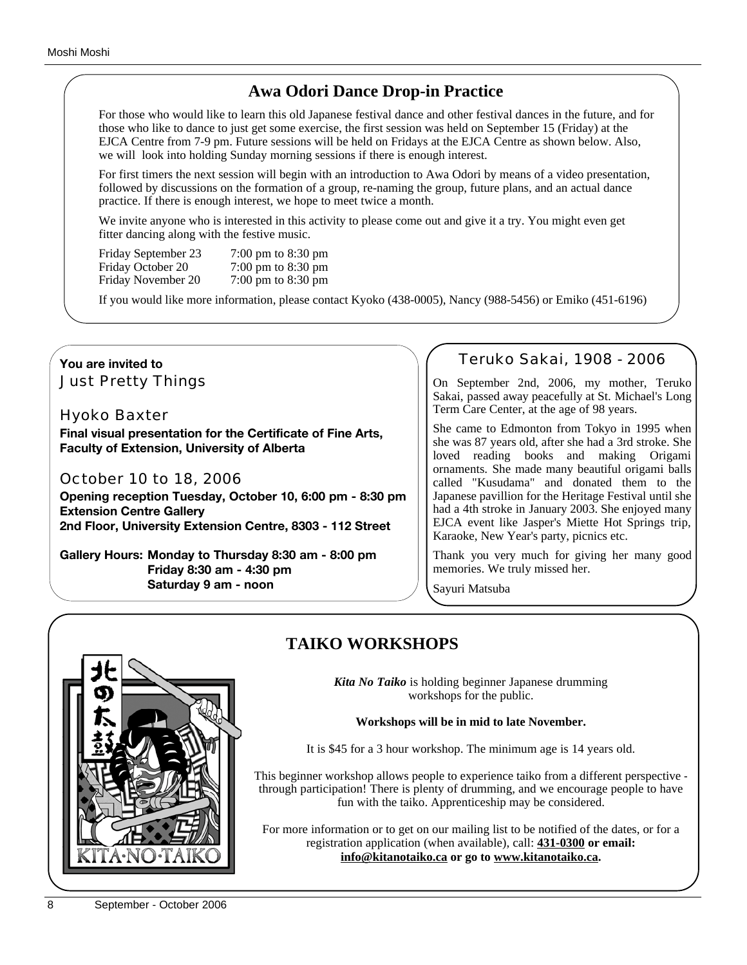## **Awa Odori Dance Drop-in Practice**

For those who would like to learn this old Japanese festival dance and other festival dances in the future, and for those who like to dance to just get some exercise, the first session was held on September 15 (Friday) at the EJCA Centre from 7-9 pm. Future sessions will be held on Fridays at the EJCA Centre as shown below. Also, we will look into holding Sunday morning sessions if there is enough interest.

For first timers the next session will begin with an introduction to Awa Odori by means of a video presentation, followed by discussions on the formation of a group, re-naming the group, future plans, and an actual dance practice. If there is enough interest, we hope to meet twice a month.

We invite anyone who is interested in this activity to please come out and give it a try. You might even get fitter dancing along with the festive music.

Friday September 23 7:00 pm to 8:30 pm Friday October 20 7:00 pm to 8:30 pm<br>Friday November 20 7:00 pm to 8:30 pm Friday November 20

If you would like more information, please contact Kyoko (438-0005), Nancy (988-5456) or Emiko (451-6196)

### **You are invited to** Just Pretty Things

### Hyoko Baxter

**Final visual presentation for the Certificate of Fine Arts, Faculty of Extension, University of Alberta**

### October 10 to 18, 2006

**Opening reception Tuesday, October 10, 6:00 pm - 8:30 pm Extension Centre Gallery 2nd Floor, University Extension Centre, 8303 - 112 Street**

**Gallery Hours: Monday to Thursday 8:30 am - 8:00 pm Friday 8:30 am - 4:30 pm Saturday 9 am - noon**

### Teruko Sakai, 1908 - 2006

On September 2nd, 2006, my mother, Teruko Sakai, passed away peacefully at St. Michael's Long Term Care Center, at the age of 98 years.

She came to Edmonton from Tokyo in 1995 when she was 87 years old, after she had a 3rd stroke. She loved reading books and making Origami ornaments. She made many beautiful origami balls called "Kusudama" and donated them to the Japanese pavillion for the Heritage Festival until she had a 4th stroke in January 2003. She enjoyed many EJCA event like Jasper's Miette Hot Springs trip, Karaoke, New Year's party, picnics etc.

Thank you very much for giving her many good memories. We truly missed her.

Sayuri Matsuba



## **TAIKO WORKSHOPS**

*Kita No Taiko* is holding beginner Japanese drumming workshops for the public.

### **Workshops will be in mid to late November.**

It is \$45 for a 3 hour workshop. The minimum age is 14 years old.

This beginner workshop allows people to experience taiko from a different perspective through participation! There is plenty of drumming, and we encourage people to have fun with the taiko. Apprenticeship may be considered.

For more information or to get on our mailing list to be notified of the dates, or for a registration application (when available), call: **431-0300 or email: info@kitanotaiko.ca or go to www.kitanotaiko.ca.**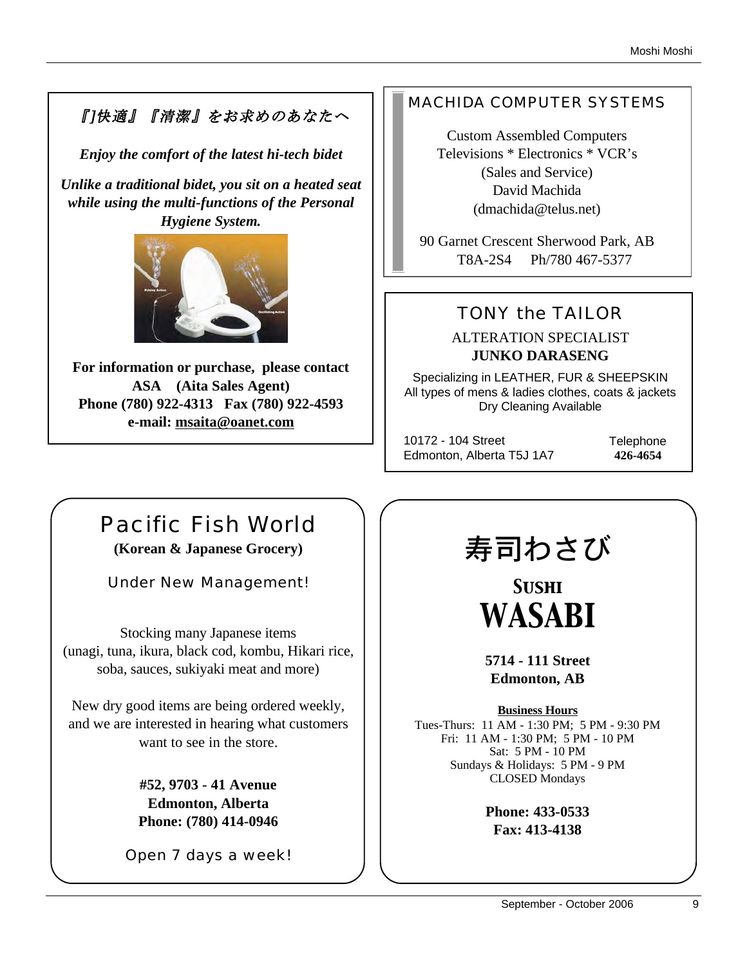## 『]快適』『清潔』をお求めのあなたへ

*Enjoy the comfort of the latest hi-tech bidet*

*Unlike a traditional bidet, you sit on a heated seat while using the multi-functions of the Personal Hygiene System.* 



**For information or purchase, please contact ASA (Aita Sales Agent) Phone (780) 922-4313 Fax (780) 922-4593 e-mail: msaita@oanet.com**

## MACHIDA COMPUTER SYSTEMS

Custom Assembled Computers Televisions \* Electronics \* VCR's (Sales and Service) David Machida (dmachida@telus.net)

90 Garnet Crescent Sherwood Park, AB T8A-2S4 Ph/780 467-5377

## TONY the TAILOR

ALTERATION SPECIALIST **JUNKO DARASENG**

Specializing in LEATHER, FUR & SHEEPSKIN All types of mens & ladies clothes, coats & jackets Dry Cleaning Available

10172 - 104 Street Edmonton, Alberta T5J 1A7 **Telephone 426-4654**

## Pacific Fish World

**(Korean & Japanese Grocery)**

Under New Management!

Stocking many Japanese items (unagi, tuna, ikura, black cod, kombu, Hikari rice, soba, sauces, sukiyaki meat and more)

New dry good items are being ordered weekly, and we are interested in hearing what customers want to see in the store.

> **#52, 9703 - 41 Avenue Edmonton, Alberta Phone: (780) 414-0946**

Open 7 days a week!

# 寿司わさび

*Sushi WASABI*

**5714 - 111 Street Edmonton, AB**

**Business Hours** Tues-Thurs: 11 AM - 1:30 PM; 5 PM - 9:30 PM Fri: 11 AM - 1:30 PM; 5 PM - 10 PM Sat: 5 PM - 10 PM Sundays & Holidays: 5 PM - 9 PM CLOSED Mondays

> **Phone: 433-0533 Fax: 413-4138**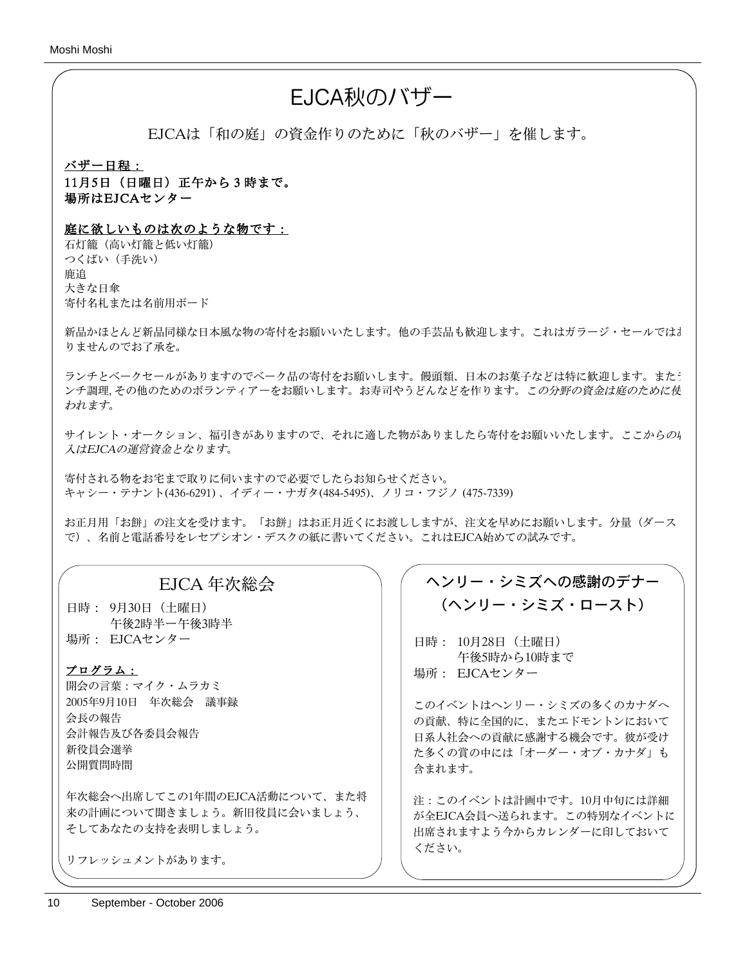## EJCA秋のバザー

EJCAは「和の庭」の資金作りのために「秋のバザー」を催します。

バザー日程: 11月5日(日曜日)正午から3時まで。 場所はEJCAセンター

### 庭に欲しいものは次のような物です:

石灯籠(高い灯籠と低い灯籠) つくばい(手洗い) 鹿追 大きな日傘 寄付名札または名前用ボード

新品かほとんど新品同様な日本風な物の寄付をお願いいたします。他の手芸品も歓迎します。これはガラージ・セールではお りませんのでお了承を。

ランチとベークセールがありますのでベーク品の寄付をお願いします。饅頭類、日本のお菓子などは特に歓迎します。またう ンチ調理, その他のためのボランティアーをお願いします。お寿司やうどんなどを作ります。この分野の資金は庭のために使 われます。

サイレント・オークション、福引きがありますので、それに適した物がありましたら寄付をお願いいたします。ここからの4 入はEJCAの運営資金となります。

寄付される物をお宅まで取りに伺いますので必要でしたらお知らせください。 キャシー・テナント(436-6291) 、イディー・ナガタ(484-5495)、ノリコ・フジノ (475-7339)

お正月用「お餅」の注文を受けます。「お餅」はお正月近くにお渡ししますが、注文を早めにお願いします。分量(ダース で)、名前と電話番号をレセプシオン・デスクの紙に書いてください。これはEJCA始めての試みです。

### EJCA 年次総会

日時: 9月30日(土曜日) 午後2時半ー午後3時半 場所: EJCAセンター

### プログラム:

開会の言葉:マイク・ムラカミ 2005年9月10日 年次総会 議事録 会長の報告 会計報告及び各委員会報告 新役員会選挙 公開質問時間

年次総会へ出席してこの1年間のEJCA活動について、また将 来の計画について聞きましょう。新旧役員に会いましょう、 そしてあなたの支持を表明しましょう。

リフレッシュメントがあります。

## ヘンリー・シミズへの感謝のデナー (ヘンリー・シミズ・ロースト)

日時: 10月28日(土曜日) 午後5時から10時まで 場所: EJCAセンター

このイベントはヘンリー・シミズの多くのカナダへ の貢献、特に全国的に、またエドモントンにおいて 日系人社会への貢献に感謝する機会です。彼が受け た多くの賞の中には「オーダー・オブ・カナダ」も 含まれます。

注:このイベントは計画中です。10月中旬には詳細 が全EJCA会員へ送られます。この特別なイベントに 出席されますよう今からカレンダーに印しておいて ください。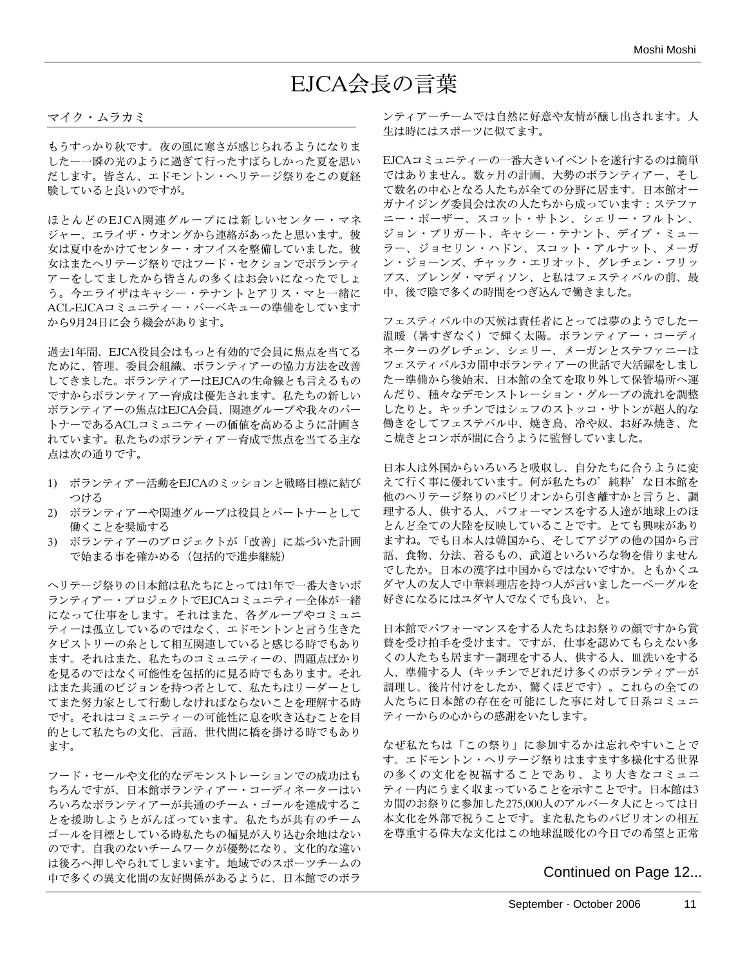## EJCA会長の言葉

### マイク・ムラカミ

もうすっかり秋です。夜の風に寒さが感じられるようになりま したー一瞬の光のように過ぎて行ったすばらしかった夏を思い だします。皆さん、エドモントン・ヘリテージ祭りをこの夏経 験していると良いのですが。

ほとんどのEJCA関連グループには新しいセンター・マネ ジャー、エライザ・ウオングから連絡があったと思います。彼 女は夏中をかけてセンター・オフイスを整備していました。彼 女はまたヘリテージ祭りではフード・セクションでボランティ アーをしてましたから皆さんの多くはお会いになったでしょ う。今エライザはキャシー・テナントとアリス・マと一緒に ACL-EJCAコミュニティー・バーベキューの準備をしています から9月24日に会う機会があります。

過去1年間、EJCA役員会はもっと有効的で会員に焦点を当てる ために、管理、委員会組織、ボランティアーの協力方法を改善 してきました。ボランティアーはEJCAの生命線とも言えるもの ですからボランティアー育成は優先されます。私たちの新しい ボランティアーの焦点はEJCA会員、関連グループや我々のパー トナーであるACLコミュニティーの価値を高めるように計画さ れています。私たちのボランティアー育成で焦点を当てる主な 点は次の通りです。

- 1) ボランティアー活動をEJCAのミッションと戦略目標に結び つける
- 2) ボランティアーや関連グループは役員とパートナーとして 働くことを奨励する
- 3) ボランティアーのプロジェクトが「改善」に基づいた計画 で始まる事を確かめる(包括的で進歩継続)

ヘリテージ祭りの日本館は私たちにとっては1年で一番大きいボ ランティアー・プロジェクトでEJCAコミュニティー全体が一緒 になって仕事をします。それはまた、各グループやコミュニ ティーは孤立しているのではなく、エドモントンと言う生きた タピストリーの糸として相互関連していると感じる時でもあり ます。それはまた、私たちのコミュニティーの、問題点ばかり を見るのではなく可能性を包括的に見る時でもあります。それ はまた共通のビジョンを持つ者として、私たちはリーダーとし てまた努力家として行動しなければならないことを理解する時 です。それはコミュニティーの可能性に息を吹き込むことを目 的として私たちの文化、言語、世代間に橋を掛ける時でもあり ます。

フード・セールや文化的なデモンストレーションでの成功はも ちろんですが、日本館ボランティアー・コーディネーターはい ろいろなボランティアーが共通のチーム・ゴールを達成するこ とを援助しようとがんばっています。私たちが共有のチーム ゴールを目標としている時私たちの偏見が入り込む余地はない のです。自我のないチームワークが優勢になり、文化的な違い は後ろへ押しやられてしまいます。地域でのスポーツチームの 中で多くの異文化間の友好関係があるように、日本館でのボラ

ンティアーチームでは自然に好意や友情が醸し出されます。人 生は時にはスポーツに似てます。

EJCAコミュニティーの一番大きいイベントを遂行するのは簡単 ではありません。数ヶ月の計画、大勢のボランティアー、そし て数名の中心となる人たちが全ての分野に居ます。日本館オー ガナイジング委員会は次の人たちから成っています:ステファ ニー・ボーザー、スコット・サトン、シェリー・フルトン、 ジョン・プリガート、キャシー・テナント、デイブ・ミュー ラー、ジョセリン・ハドン、スコット・アルナット、メーガ ン・ジョーンズ、チャック・エリオット、グレチェン・フリッ プス、ブレンダ・マディソン、と私はフェスティバルの前、最 中、後で陰で多くの時間をつぎ込んで働きました。

フェスティバル中の天候は責任者にとっては夢のようでしたー 温暖(暑すぎなく)で輝く太陽。ボランティアー・コーディ ネーターのグレチェン、シェリー、メーガンとステファニーは フェスティバル3カ間中ボランティアーの世話で大活躍をしまし たー準備から後始末、日本館の全てを取り外して保管場所へ運 んだり、種々なデモンストレーション・グループの流れを調整 したりと。キッチンではシェフのストッコ・サトンが超人的な 働きをしてフェステバル中、焼き鳥、冷や奴、お好み焼き、た こ焼きとコンボが間に合うように監督していました。

日本人は外国からいろいろと吸収し、自分たちに合うように変 えて行く事に優れています。何が私たちの'純粋'な日本館を 他のヘリテージ祭りのパビリオンから引き離すかと言うと、調 理する人、供する人、パフォーマンスをする人達が地球上のほ とんど全ての大陸を反映していることです。とても興味があり ますね。でも日本人は韓国から、そしてアジアの他の国から言 語、食物、分法、着るもの、武道といろいろな物を借りません でしたか。日本の漢字は中国からではないですか。ともかくユ ダヤ人の友人で中華料理店を持つ人が言いましたーベーグルを 好きになるにはユダヤ人でなくでも良い、と。

日本館でパフォーマンスをする人たちはお祭りの顔ですから賞 賛を受け拍手を受けます。ですが、仕事を認めてもらえない多 くの人たちも居ますー調理をする人、供する人、皿洗いをする 人、準備する人(キッチンでどれだけ多くのボランティアーが 調理し、後片付けをしたか、驚くほどです)。これらの全ての 人たちに日本館の存在を可能にした事に対して日系コミュニ ティーからの心からの感謝をいたします。

なぜ私たちは「この祭り」に参加するかは忘れやすいことで す。エドモントン・ヘリテージ祭りはますます多様化する世界 の多くの文化を祝福することであり、より大きなコミュニ ティー内にうまく収まっていることを示すことです。日本館は3 カ間のお祭りに参加した275,000人のアルバータ人にとっては日 本文化を外部で祝うことです。また私たちのパビリオンの相互 を尊重する偉大な文化はこの地球温暖化の今日での希望と正常

### Continued on Page 12...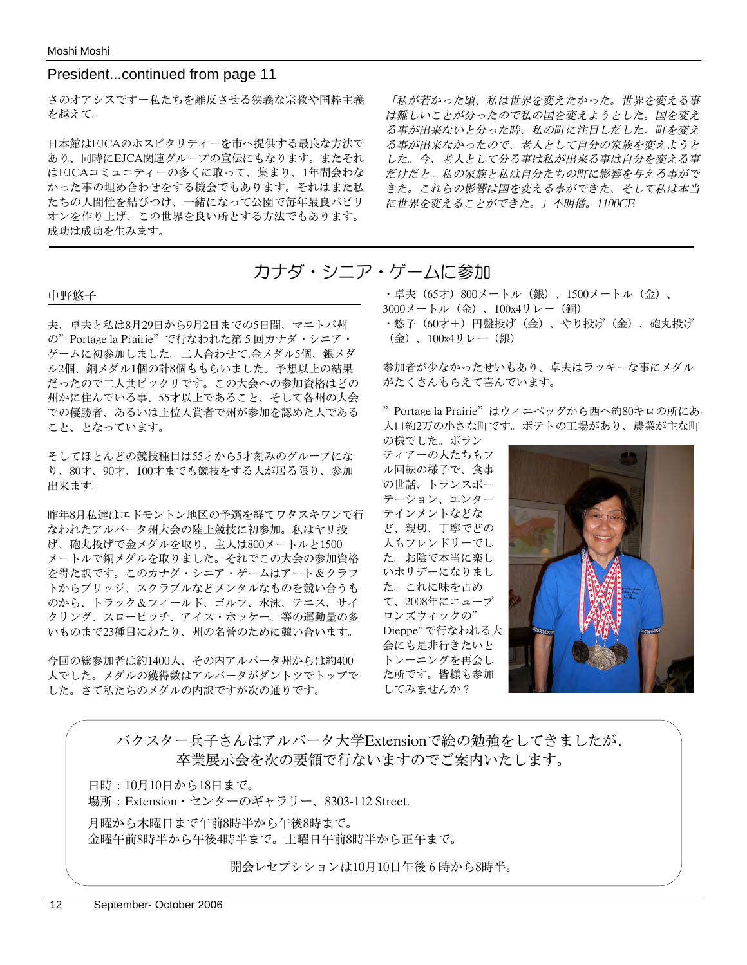### President...continued from page 11

さのオアシスですー私たちを離反させる狭義な宗教や国粋主義 を越えて。

日本館はEJCAのホスピタリティーを市へ提供する最良な方法で あり、同時にEJCA関連グループの宣伝にもなります。またそれ はEJCAコミュニティーの多くに取って、集まり、1年間会わな かった事の埋め合わせをする機会でもあります。それはまた私 たちの人間性を結びつけ、一緒になって公園で毎年最良パビリ オンを作り上げ、この世界を良い所とする方法でもあります。 成功は成功を生みます。

「私が若かった頃、私は世界を変えたかった。世界を変える事 は難しいことが分ったので私の国を変えようとした。国を変え る事が出来ないと分った時、私の町に注目しだした。町を変え る事が出来なかったので、老人として自分の家族を変えようと した。今、老人として分る事は私が出来る事は自分を変える事 だけだと。私の家族と私は自分たちの町に影響を与える事がで きた。これらの影響は国を変える事ができた、そして私は本当 に世界を変えることができた。」不明僧。1100CE

## カナダ・シニア・ゲームに参加

#### 中野悠子

夫、卓夫と私は8月29日から9月2日までの5日間、マニトバ州 の"Portage la Prairie"で行なわれた第5回カナダ・シニア・ ゲームに初参加しました。二人合わせて.金メダル5個、銀メダ ル2個、銅メダル1個の計8個ももらいました。予想以上の結果 だったので二人共ビックリです。この大会への参加資格はどの 州かに住んでいる事、55才以上であること、そして各州の大会 での優勝者、あるいは上位入賞者で州が参加を認めた人である こと、となっています。

そしてほとんどの競技種目は55才から5才刻みのグループにな り、80才、90才、100才までも競技をする人が居る限り、参加 出来ます。

昨年8月私達はエドモントン地区の予選を経てワタスキワンで行 なわれたアルバータ州大会の陸上競技に初参加。私はヤリ投 げ、砲丸投げで金メダルを取り、主人は800メートルと1500 メートルで銅メダルを取りました。それでこの大会の参加資格 を得た訳です。このカナダ・シニア・ゲームはアート&クラフ トからブリッジ、スクラブルなどメンタルなものを競い合うも のから、トラック&フィールド、ゴルフ、水泳、テニス、サイ クリング、スローピッチ、アイス・ホッケー、等の運動量の多 いものまで23種目にわたり、州の名誉のために競い合います。

今回の総参加者は約1400人、その内アルバータ州からは約400 人でした。メダルの獲得数はアルバータがダントツでトップで した。さて私たちのメダルの内訳ですが次の通りです。

・卓夫(65才)800メートル(銀)、1500メートル(金)、

3000メートル (金)、100x4リレー(銅)

・悠子(60才+)円盤投げ(金)、やり投げ(金)、砲丸投げ (金)、100x4リレー(銀)

参加者が少なかったせいもあり、卓夫はラッキーな事にメダル がたくさんもらえて喜んでいます。

"Portage la Prairie"はウィニペッグから西へ約80キロの所にあ 人口約2万の小さな町です。ポテトの工場があり、農業が主な町 の様でした。ボラン

ティアーの人たちもフ ル回転の様子で、食事 の世話、トランスポー テーション、エンター テインメントなどな ど、親切、丁寧でどの 人もフレンドリーでし た。お陰で本当に楽し いホリデーになりまし た。これに味を占め て、2008年にニューブ ロンズウィックの" Dieppe" で行なわれる大 会にも是非行きたいと トレーニングを再会し た所です。皆様も参加 してみませんか?



バクスター兵子さんはアルバータ大学Extensionで絵の勉強をしてきましたが、 卒業展示会を次の要領で行ないますのでご案内いたします。

日時:10月10日から18日まで。 場所:Extension・センターのギャラリー、8303-112 Street.

月曜から木曜日まで午前8時半から午後8時まで。 金曜午前8時半から午後4時半まで。土曜日午前8時半から正午まで。

開会レセプシションは10月10日午後6時から8時半。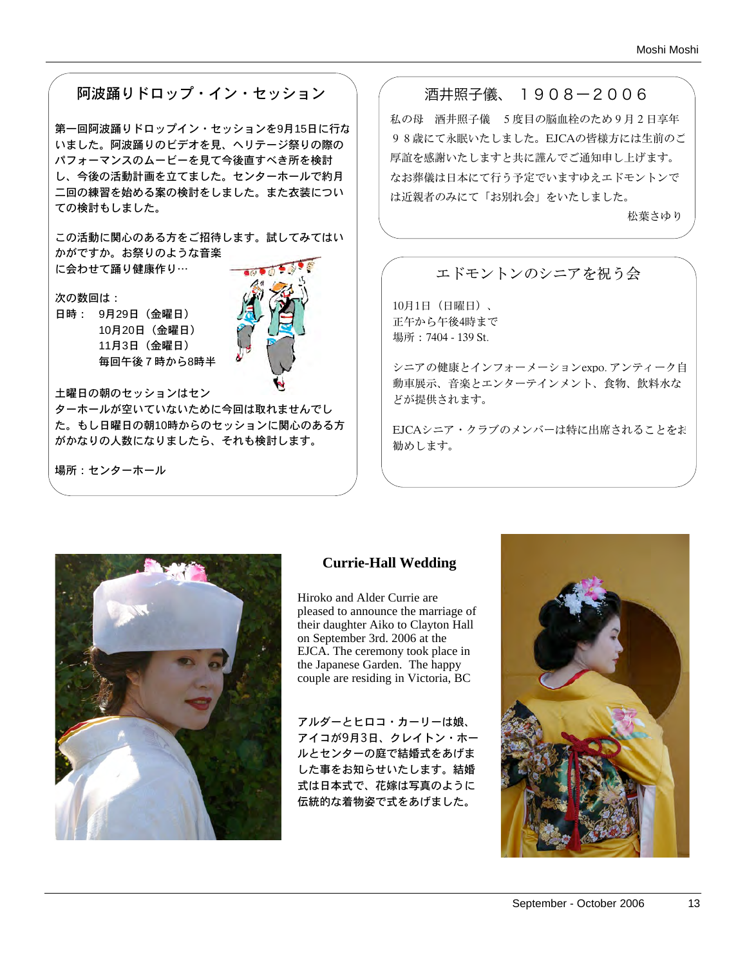## 阿波踊りドロップ・イン・セッション

第一回阿波踊りドロップイン・セッションを9月15日に行な いました。阿波踊りのビデオを見、ヘリテージ祭りの際の パフォーマンスのムービーを見て今後直すべき所を検討 し、今後の活動計画を立てました。センターホールで約月 二回の練習を始める案の検討をしました。また衣装につい ての検討もしました。

この活動に関心のある方をご招待します。試してみてはい かがですか。お祭りのような音楽 に会わせて踊り健康作り…

次の数回は: 日時: 9月29日(金曜日) 10月20日(金曜日) 11月3日(金曜日) 毎回午後7時から8時半



土曜日の朝のセッションはセン

ターホールが空いていないために今回は取れませんでし た。もし日曜日の朝10時からのセッションに関心のある方 がかなりの人数になりましたら、それも検討します。

場所:センターホール

## 酒井照子儀、 1908ー2006

私の母 酒井照子儀 5度目の脳血栓のため9月2日享年 98歳にて永眠いたしました。EJCAの皆様方には生前のご 厚誼を感謝いたしますと共に謹んでご通知申し上げます。 なお葬儀は日本にて行う予定でいますゆえエドモントンで は近親者のみにて「お別れ会」をいたしました。

松葉さゆり

## エドモントンのシニアを祝う会

10月1日(日曜日)、 正午から午後4時まで 場所:7404 - 139 St.

シニアの健康とインフォーメーションexpo. アンティーク自 動車展示、音楽とエンターテインメント、食物、飲料水な どが提供されます。

EJCAシニア・クラブのメンバーは特に出席されることをお 勧めします。



### **Currie-Hall Wedding**

Hiroko and Alder Currie are pleased to announce the marriage of their daughter Aiko to Clayton Hall on September 3rd. 2006 at the EJCA. The ceremony took place in the Japanese Garden. The happy couple are residing in Victoria, BC

アルダーとヒロコ・カーリーは娘、 アイコが9月3日、クレイトン・ホー ルとセンターの庭で結婚式をあげま した事をお知らせいたします。結婚 式は日本式で、花嫁は写真のように 伝統的な着物姿で式をあげました。